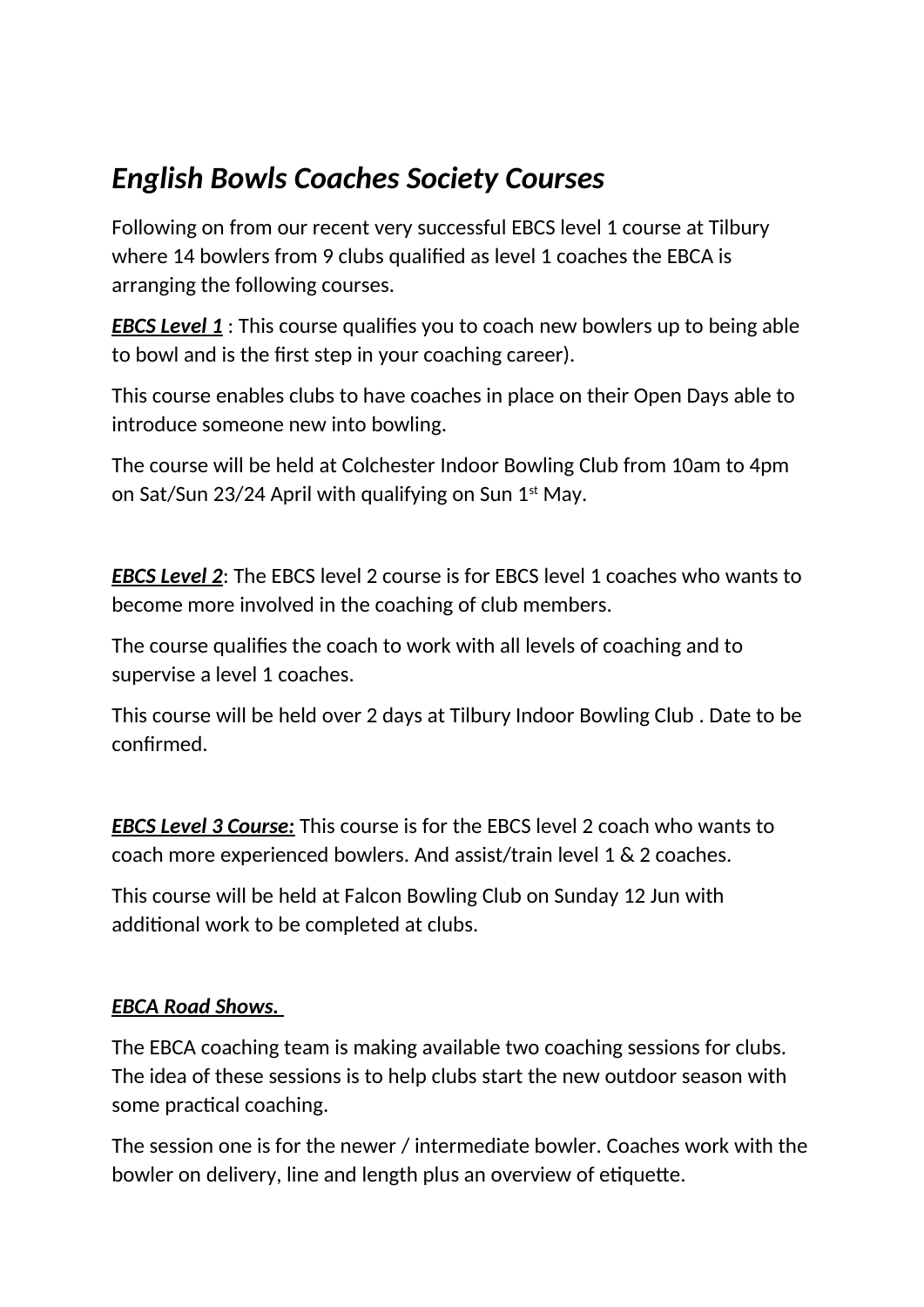## *English Bowls Coaches Society Courses*

Following on from our recent very successful EBCS level 1 course at Tilbury where 14 bowlers from 9 clubs qualified as level 1 coaches the EBCA is arranging the following courses.

*EBCS Level 1* : This course qualifies you to coach new bowlers up to being able to bowl and is the first step in your coaching career).

This course enables clubs to have coaches in place on their Open Days able to introduce someone new into bowling.

The course will be held at Colchester Indoor Bowling Club from 10am to 4pm on Sat/Sun 23/24 April with qualifying on Sun  $1<sup>st</sup>$  May.

*EBCS Level 2*: The EBCS level 2 course is for EBCS level 1 coaches who wants to become more involved in the coaching of club members.

The course qualifies the coach to work with all levels of coaching and to supervise a level 1 coaches.

This course will be held over 2 days at Tilbury Indoor Bowling Club . Date to be confirmed.

*EBCS Level 3 Course:* This course is for the EBCS level 2 coach who wants to coach more experienced bowlers. And assist/train level 1 & 2 coaches.

This course will be held at Falcon Bowling Club on Sunday 12 Jun with additional work to be completed at clubs.

## *EBCA Road Shows.*

The EBCA coaching team is making available two coaching sessions for clubs. The idea of these sessions is to help clubs start the new outdoor season with some practical coaching.

The session one is for the newer / intermediate bowler. Coaches work with the bowler on delivery, line and length plus an overview of etiquette.